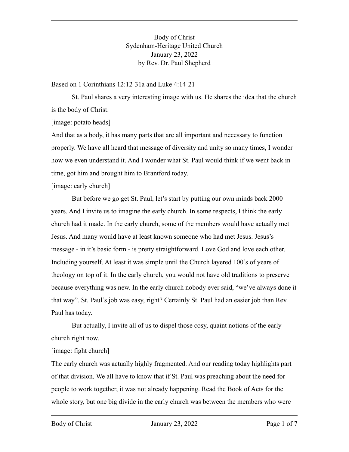Body of Christ Sydenham-Heritage United Church January 23, 2022 by Rev. Dr. Paul Shepherd

Based on 1 Corinthians 12:12-31a and Luke 4:14-21

St. Paul shares a very interesting image with us. He shares the idea that the church is the body of Christ.

[image: potato heads]

And that as a body, it has many parts that are all important and necessary to function properly. We have all heard that message of diversity and unity so many times, I wonder how we even understand it. And I wonder what St. Paul would think if we went back in time, got him and brought him to Brantford today.

[image: early church]

But before we go get St. Paul, let's start by putting our own minds back 2000 years. And I invite us to imagine the early church. In some respects, I think the early church had it made. In the early church, some of the members would have actually met Jesus. And many would have at least known someone who had met Jesus. Jesus's message - in it's basic form - is pretty straightforward. Love God and love each other. Including yourself. At least it was simple until the Church layered 100's of years of theology on top of it. In the early church, you would not have old traditions to preserve because everything was new. In the early church nobody ever said, "we've always done it that way". St. Paul's job was easy, right? Certainly St. Paul had an easier job than Rev. Paul has today.

But actually, I invite all of us to dispel those cosy, quaint notions of the early church right now.

[image: fight church]

The early church was actually highly fragmented. And our reading today highlights part of that division. We all have to know that if St. Paul was preaching about the need for people to work together, it was not already happening. Read the Book of Acts for the whole story, but one big divide in the early church was between the members who were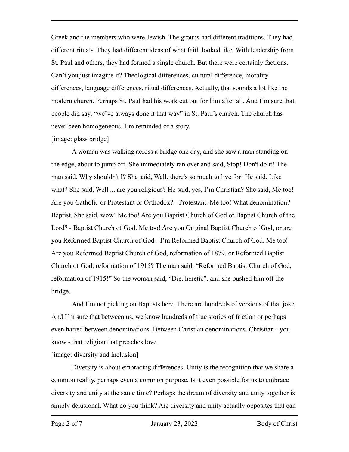Greek and the members who were Jewish. The groups had different traditions. They had different rituals. They had different ideas of what faith looked like. With leadership from St. Paul and others, they had formed a single church. But there were certainly factions. Can't you just imagine it? Theological differences, cultural difference, morality differences, language differences, ritual differences. Actually, that sounds a lot like the modern church. Perhaps St. Paul had his work cut out for him after all. And I'm sure that people did say, "we've always done it that way" in St. Paul's church. The church has never been homogeneous. I'm reminded of a story.

## [image: glass bridge]

A woman was walking across a bridge one day, and she saw a man standing on the edge, about to jump off. She immediately ran over and said, Stop! Don't do it! The man said, Why shouldn't I? She said, Well, there's so much to live for! He said, Like what? She said, Well ... are you religious? He said, yes, I'm Christian? She said, Me too! Are you Catholic or Protestant or Orthodox? - Protestant. Me too! What denomination? Baptist. She said, wow! Me too! Are you Baptist Church of God or Baptist Church of the Lord? - Baptist Church of God. Me too! Are you Original Baptist Church of God, or are you Reformed Baptist Church of God - I'm Reformed Baptist Church of God. Me too! Are you Reformed Baptist Church of God, reformation of 1879, or Reformed Baptist Church of God, reformation of 1915? The man said, "Reformed Baptist Church of God, reformation of 1915!" So the woman said, "Die, heretic", and she pushed him off the bridge.

And I'm not picking on Baptists here. There are hundreds of versions of that joke. And I'm sure that between us, we know hundreds of true stories of friction or perhaps even hatred between denominations. Between Christian denominations. Christian - you know - that religion that preaches love.

[image: diversity and inclusion]

Diversity is about embracing differences. Unity is the recognition that we share a common reality, perhaps even a common purpose. Is it even possible for us to embrace diversity and unity at the same time? Perhaps the dream of diversity and unity together is simply delusional. What do you think? Are diversity and unity actually opposites that can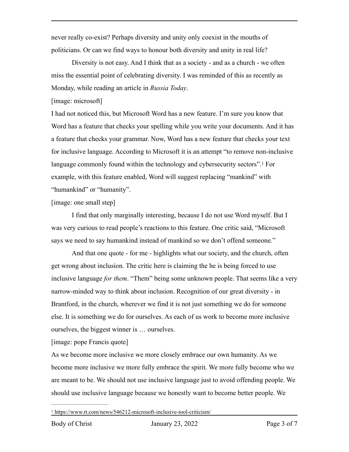never really co-exist? Perhaps diversity and unity only coexist in the mouths of politicians. Or can we find ways to honour both diversity and unity in real life?

Diversity is not easy. And I think that as a society - and as a church - we often miss the essential point of celebrating diversity. I was reminded of this as recently as Monday, while reading an article in *Russia Today*.

[image: microsoft]

I had not noticed this, but Microsoft Word has a new feature. I'm sure you know that Word has a feature that checks your spelling while you write your documents. And it has a feature that checks your grammar. Now, Word has a new feature that checks your text for inclusive language. According to Microsoft it is an attempt "to remove non-inclusive languagecommonly found within the technology and cybersecurity sectors".<sup>[1](#page-2-0)</sup> For example, with this feature enabled, Word will suggest replacing "mankind" with "humankind" or "humanity".

<span id="page-2-1"></span>[image: one small step]

I find that only marginally interesting, because I do not use Word myself. But I was very curious to read people's reactions to this feature. One critic said, "Microsoft says we need to say humankind instead of mankind so we don't offend someone."

And that one quote - for me - highlights what our society, and the church, often get wrong about inclusion. The critic here is claiming the he is being forced to use inclusive language *for them*. "Them" being some unknown people. That seems like a very narrow-minded way to think about inclusion. Recognition of our great diversity - in Brantford, in the church, wherever we find it is not just something we do for someone else. It is something we do for ourselves. As each of us work to become more inclusive ourselves, the biggest winner is … ourselves.

[image: pope Francis quote]

As we become more inclusive we more closely embrace our own humanity. As we become more inclusive we more fully embrace the spirit. We more fully become who we are meant to be. We should not use inclusive language just to avoid offending people. We should use inclusive language because we honestly want to become better people. We

<span id="page-2-0"></span>https://www.rt.com/news/546212-microsoft-inclusive-tool-criticism/ [1](#page-2-1)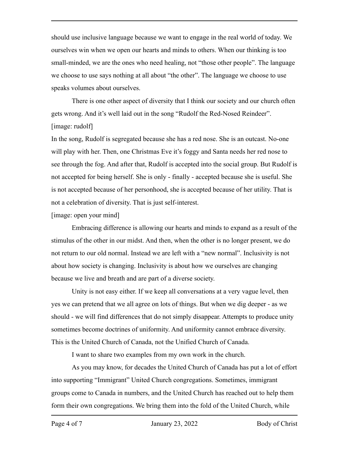should use inclusive language because we want to engage in the real world of today. We ourselves win when we open our hearts and minds to others. When our thinking is too small-minded, we are the ones who need healing, not "those other people". The language we choose to use says nothing at all about "the other". The language we choose to use speaks volumes about ourselves.

There is one other aspect of diversity that I think our society and our church often gets wrong. And it's well laid out in the song "Rudolf the Red-Nosed Reindeer". [image: rudolf]

In the song, Rudolf is segregated because she has a red nose. She is an outcast. No-one will play with her. Then, one Christmas Eve it's foggy and Santa needs her red nose to see through the fog. And after that, Rudolf is accepted into the social group. But Rudolf is not accepted for being herself. She is only - finally - accepted because she is useful. She is not accepted because of her personhood, she is accepted because of her utility. That is not a celebration of diversity. That is just self-interest.

[image: open your mind]

Embracing difference is allowing our hearts and minds to expand as a result of the stimulus of the other in our midst. And then, when the other is no longer present, we do not return to our old normal. Instead we are left with a "new normal". Inclusivity is not about how society is changing. Inclusivity is about how we ourselves are changing because we live and breath and are part of a diverse society.

Unity is not easy either. If we keep all conversations at a very vague level, then yes we can pretend that we all agree on lots of things. But when we dig deeper - as we should - we will find differences that do not simply disappear. Attempts to produce unity sometimes become doctrines of uniformity. And uniformity cannot embrace diversity. This is the United Church of Canada, not the Unified Church of Canada.

I want to share two examples from my own work in the church.

As you may know, for decades the United Church of Canada has put a lot of effort into supporting "Immigrant" United Church congregations. Sometimes, immigrant groups come to Canada in numbers, and the United Church has reached out to help them form their own congregations. We bring them into the fold of the United Church, while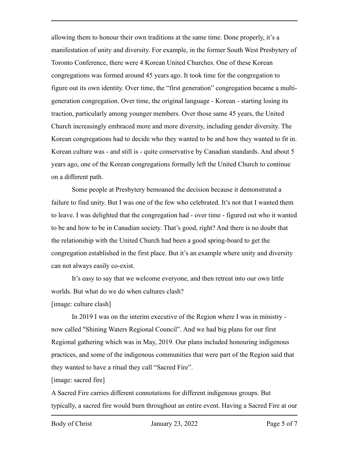allowing them to honour their own traditions at the same time. Done properly, it's a manifestation of unity and diversity. For example, in the former South West Presbytery of Toronto Conference, there were 4 Korean United Churches. One of these Korean congregations was formed around 45 years ago. It took time for the congregation to figure out its own identity. Over time, the "first generation" congregation became a multigeneration congregation. Over time, the original language - Korean - starting losing its traction, particularly among younger members. Over those same 45 years, the United Church increasingly embraced more and more diversity, including gender diversity. The Korean congregations had to decide who they wanted to be and how they wanted to fit in. Korean culture was - and still is - quite conservative by Canadian standards. And about 5 years ago, one of the Korean congregations formally left the United Church to continue on a different path.

Some people at Presbytery bemoaned the decision because it demonstrated a failure to find unity. But I was one of the few who celebrated. It's not that I wanted them to leave. I was delighted that the congregation had - over time - figured out who it wanted to be and how to be in Canadian society. That's good, right? And there is no doubt that the relationship with the United Church had been a good spring-board to get the congregation established in the first place. But it's an example where unity and diversity can not always easily co-exist.

It's easy to say that we welcome everyone, and then retreat into our own little worlds. But what do we do when cultures clash?

[image: culture clash]

In 2019 I was on the interim executive of the Region where I was in ministry now called "Shining Waters Regional Council". And we had big plans for our first Regional gathering which was in May, 2019. Our plans included honouring indigenous practices, and some of the indigenous communities that were part of the Region said that they wanted to have a ritual they call "Sacred Fire".

[image: sacred fire]

A Sacred Fire carries different connotations for different indigenous groups. But typically, a sacred fire would burn throughout an entire event. Having a Sacred Fire at our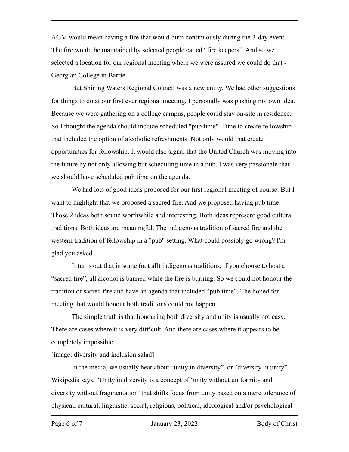AGM would mean having a fire that would burn continuously during the 3-day event. The fire would be maintained by selected people called "fire keepers". And so we selected a location for our regional meeting where we were assured we could do that - Georgian College in Barrie.

But Shining Waters Regional Council was a new entity. We had other suggestions for things to do at our first ever regional meeting. I personally was pushing my own idea. Because we were gathering on a college campus, people could stay on-site in residence. So I thought the agenda should include scheduled "pub time". Time to create fellowship that included the option of alcoholic refreshments. Not only would that create opportunities for fellowship. It would also signal that the United Church was moving into the future by not only allowing but scheduling time in a pub. I was very passionate that we should have scheduled pub time on the agenda.

We had lots of good ideas proposed for our first regional meeting of course. But I want to highlight that we proposed a sacred fire. And we proposed having pub time. Those 2 ideas both sound worthwhile and interesting. Both ideas represent good cultural traditions. Both ideas are meaningful. The indigenous tradition of sacred fire and the western tradition of fellowship in a "pub" setting. What could possibly go wrong? I'm glad you asked.

It turns out that in some (not all) indigenous traditions, if you choose to host a "sacred fire", all alcohol is banned while the fire is burning. So we could not honour the tradition of sacred fire and have an agenda that included "pub time". The hoped for meeting that would honour both traditions could not happen.

The simple truth is that honouring both diversity and unity is usually not easy. There are cases where it is very difficult. And there are cases where it appears to be completely impossible.

[image: diversity and inclusion salad]

In the media, we usually hear about "unity in diversity", or "diversity in unity". Wikipedia says, "Unity in diversity is a concept of 'unity without uniformity and diversity without fragmentation' that shifts focus from unity based on a mere tolerance of physical, cultural, linguistic, social, religious, political, ideological and/or psychological